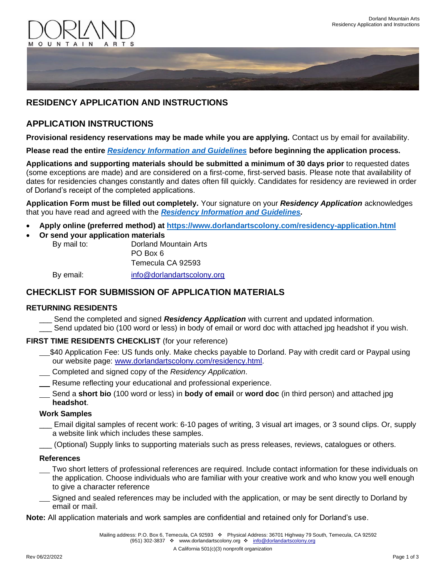



# **RESIDENCY APPLICATION AND INSTRUCTIONS**

## **APPLICATION INSTRUCTIONS**

**Provisional residency reservations may be made while you are applying.** Contact us by email for availability.

**Please read the entire** *[Residency Information and Guidelines](Residency%20Information%20and%20Guidelines_06_22_2022.pdf)* **before beginning the application process.**

**Applications and supporting materials should be submitted a minimum of 30 days prior** to requested dates (some exceptions are made) and are considered on a first-come, first-served basis. Please note that availability of dates for residencies changes constantly and dates often fill quickly. Candidates for residency are reviewed in order of Dorland's receipt of the completed applications.

**Application Form must be filled out completely.** Your signature on your *Residency Application* acknowledges that you have read and agreed with the *[Residency Information and Guidelines.](Residency%20Information%20and%20Guidelines_06_22_2022.pdf)*

- **Apply online (preferred method) at <https://www.dorlandartscolony.com/residency-application.html>**
- **Or send your application materials**

By mail to: Dorland Mountain Arts PO Box 6 Temecula CA 92593 By email: [info@dorlandartscolony.org](mailto:info@dorlandartscolony.org)

### **CHECKLIST FOR SUBMISSION OF APPLICATION MATERIALS**

### **RETURNING RESIDENTS**

- Send the completed and signed **Residency Application** with current and updated information.
- \_\_\_ Send updated bio (100 word or less) in body of email or word doc with attached jpg headshot if you wish.

### **FIRST TIME RESIDENTS CHECKLIST** (for your reference)

- \$40 Application Fee: US funds only. Make checks payable to Dorland. Pay with credit card or Paypal using our website page: [www.dorlandartscolony.com/residency.html.](http://www.dorlandartscolony.com/residency.html)
- Completed and signed copy of the *Residency Application*.
- Resume reflecting your educational and professional experience.
- Send a **short bio** (100 word or less) in **body of email** or **word doc** (in third person) and attached jpg **headshot**.

#### **Work Samples**

- Email digital samples of recent work: 6-10 pages of writing, 3 visual art images, or 3 sound clips. Or, supply a website link which includes these samples.
- \_\_\_ (Optional) Supply links to supporting materials such as press releases, reviews, catalogues or others.

#### **References**

- Two short letters of professional references are required. Include contact information for these individuals on the application. Choose individuals who are familiar with your creative work and who know you well enough to give a character reference
- Signed and sealed references may be included with the application, or may be sent directly to Dorland by email or mail.

**Note:** All application materials and work samples are confidential and retained only for Dorland's use.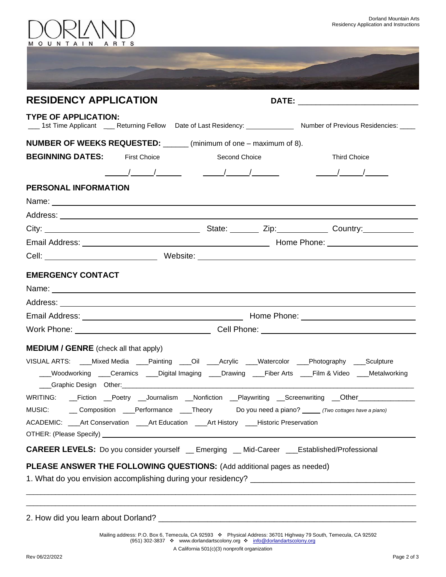



|                                      | <b>RESIDENCY APPLICATION</b> |                                                                           |                                                                                                                        |
|--------------------------------------|------------------------------|---------------------------------------------------------------------------|------------------------------------------------------------------------------------------------------------------------|
| <b>TYPE OF APPLICATION:</b>          |                              |                                                                           | 1st Time Applicant _____ Returning Fellow Date of Last Residency: _______________ Number of Previous Residencies: ____ |
|                                      |                              | <b>NUMBER OF WEEKS REQUESTED:</b> ______ (minimum of one – maximum of 8). |                                                                                                                        |
| <b>BEGINNING DATES:</b> First Choice |                              | Second Choice                                                             | <b>Third Choice</b>                                                                                                    |
|                                      |                              |                                                                           |                                                                                                                        |
| PERSONAL INFORMATION                 |                              |                                                                           |                                                                                                                        |
|                                      |                              |                                                                           |                                                                                                                        |
|                                      |                              |                                                                           |                                                                                                                        |
|                                      |                              |                                                                           |                                                                                                                        |
|                                      |                              |                                                                           |                                                                                                                        |
|                                      |                              |                                                                           |                                                                                                                        |
|                                      |                              |                                                                           |                                                                                                                        |
|                                      |                              |                                                                           |                                                                                                                        |
|                                      |                              |                                                                           |                                                                                                                        |
|                                      |                              |                                                                           |                                                                                                                        |
| <b>EMERGENCY CONTACT</b>             |                              |                                                                           |                                                                                                                        |

| Do you need a piano? (Two cottages have a piano)<br>MUSIC:<br>Composition<br>Performance Theory                                                                                                                                |  |  |  |  |
|--------------------------------------------------------------------------------------------------------------------------------------------------------------------------------------------------------------------------------|--|--|--|--|
| ACADEMIC: _____Art Conservation _____Art Education _____Art History _____Historic Preservation                                                                                                                                 |  |  |  |  |
| OTHER: (Please Specify) North States and Security and Security and Security and Security and Security and Security and Security and Security and Security and Security and Security and Security and Security and Security and |  |  |  |  |
| <b>CAREER LEVELS:</b> Do you consider yourself<br>Established/Professional<br>__ Mid-Career<br>Emerging                                                                                                                        |  |  |  |  |

WRITING: \_\_Fiction \_\_Poetry \_\_Journalism \_\_Nonfiction \_\_Playwriting \_\_Screenwriting \_\_Other\_\_\_\_\_\_\_\_

# **PLEASE ANSWER THE FOLLOWING QUESTIONS:** (Add additional pages as needed)

1. What do you envision accomplishing during your residency? \_\_\_\_\_\_\_\_\_\_\_\_\_\_\_\_\_\_\_\_

2. How did you learn about Dorland? \_\_\_\_\_\_\_\_

 Mailing address: P.O. Box 6, Temecula, CA 92593 ❖ Physical Address: 36701 Highway 79 South, Temecula, CA 92592 (951) 302-3837 ❖ [www.dorlandartscolony.org](http://www.dorlandartscolony.org/) ❖ [info@dorlandartscolony.org](mailto:info@dorlandartscolony.org)

\_\_\_\_\_\_\_\_\_\_\_\_\_\_\_\_\_\_\_\_\_\_\_\_\_\_\_\_\_\_\_\_\_\_\_\_\_\_\_\_\_\_\_\_\_\_\_\_\_\_\_\_\_\_\_\_\_\_\_\_\_\_\_\_\_\_\_\_\_\_\_\_\_\_\_\_\_\_\_\_\_\_\_\_\_\_\_\_\_\_\_\_\_\_\_\_\_\_\_\_\_\_\_\_\_\_\_ \_\_\_\_\_\_\_\_\_\_\_\_\_\_\_\_\_\_\_\_\_\_\_\_\_\_\_\_\_\_\_\_\_\_\_\_\_\_\_\_\_\_\_\_\_\_\_\_\_\_\_\_\_\_\_\_\_\_\_\_\_\_\_\_\_\_\_\_\_\_\_\_\_\_\_\_\_\_\_\_\_\_\_\_\_\_\_\_\_\_\_\_\_\_\_\_\_\_\_\_\_\_\_\_\_\_\_